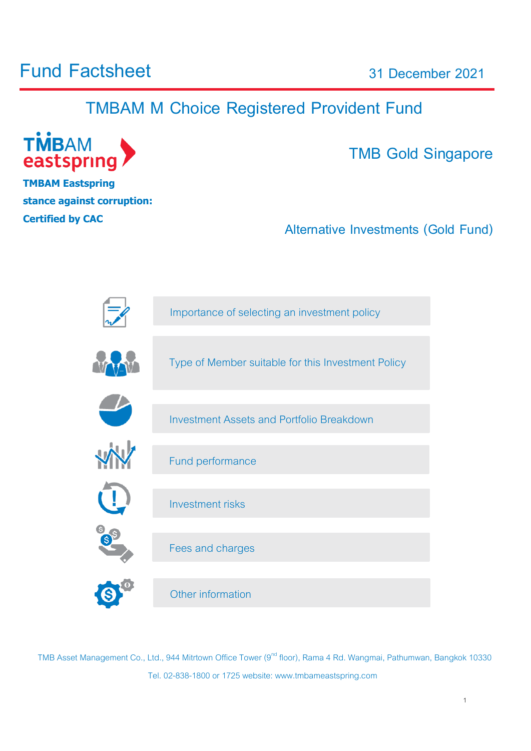## **Fund Factsheet**

**31 December 2021**

## **TMBAM M Choice Registered Provident Fund**



**TMBAM Eastspring stance against corruption: Certified by [CAC](http://www.thai-cac.com/th)**

**TMB Gold Singapore**

1

**Alternative Investments (Gold Fund)**



TMB Asset Management Co., Ltd., 944 Mitrtown Office Tower (9<sup>nd</sup> floor), Rama 4 Rd. Wangmai, Pathumwan, Bangkok 10330 Tel. 02-838-1800 or 1725 website: www.tmbameastspring.com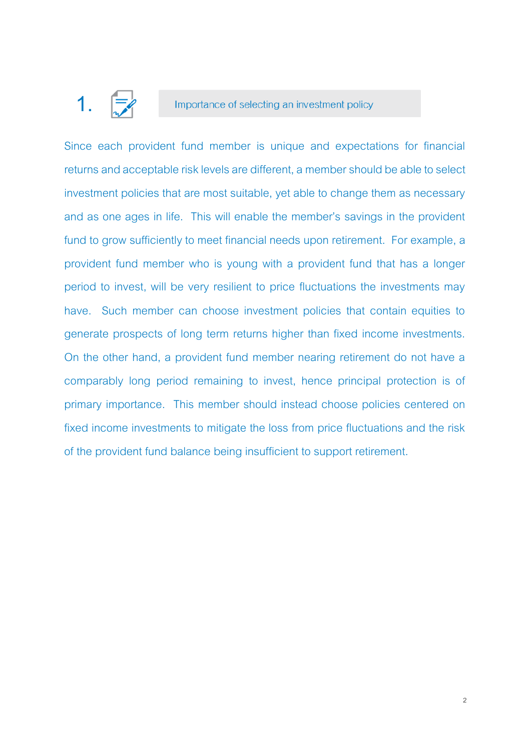## **1.**

#### Importance of selecting an investment policy

Since each provident fund member is unique and expectations for financial returns and acceptable risk levels are different, a member should be able to select investment policies that are most suitable, yet able to change them as necessary and as one ages in life. This will enable the member's savings in the provident fund to grow sufficiently to meet financial needs upon retirement. For example, a provident fund member who is young with a provident fund that has a longer period to invest, will be very resilient to price fluctuations the investments may have. Such member can choose investment policies that contain equities to generate prospects of long term returns higher than fixed income investments. On the other hand, a provident fund member nearing retirement do not have a comparably long period remaining to invest, hence principal protection is of primary importance. This member should instead choose policies centered on fixed income investments to mitigate the loss from price fluctuations and the risk of the provident fund balance being insufficient to support retirement.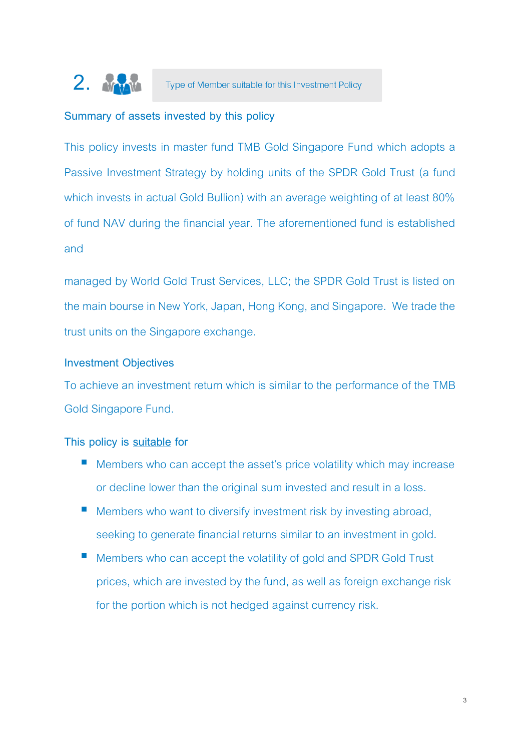

#### **Summary of assets invested by this policy**

This policy invests in master fund TMB Gold Singapore Fund which adopts a Passive Investment Strategy by holding units of the SPDR Gold Trust (a fund which invests in actual Gold Bullion) with an average weighting of at least 80% of fund NAV during the financial year. The aforementioned fund is established and

managed by World Gold Trust Services, LLC; the SPDR Gold Trust is listed on the main bourse in New York, Japan, Hong Kong, and Singapore. We trade the trust units on the Singapore exchange.

#### **Investment Objectives**

To achieve an investment return which is similar to the performance of the TMB Gold Singapore Fund.

#### **This policy is suitable for**

- $\blacksquare$  Members who can accept the asset's price volatility which may increase or decline lower than the original sum invested and result in a loss.
- **Members who want to diversify investment risk by investing abroad,** seeking to generate financial returns similar to an investment in gold.
- Members who can accept the volatility of gold and SPDR Gold Trust prices, which are invested by the fund, as well as foreign exchange risk for the portion which is not hedged against currency risk.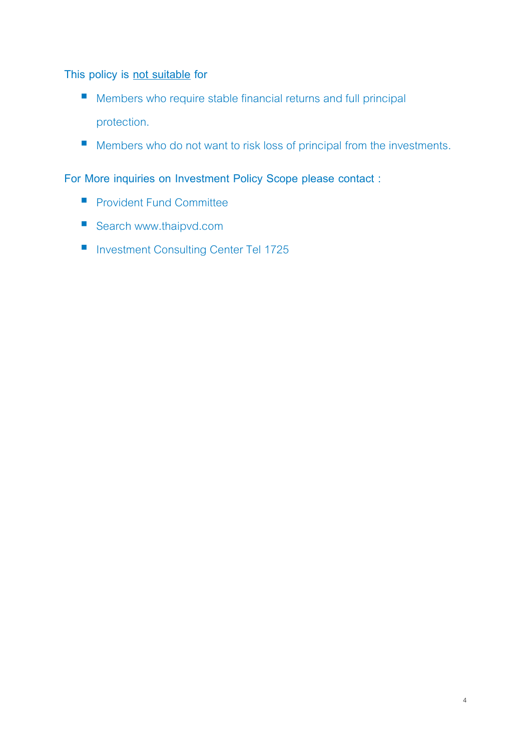**This policy is not suitable for**

- **Members who require stable financial returns and full principal** protection.
- Members who do not want to risk loss of principal from the investments.

**For More inquiries on Investment Policy Scope please contact :**

- **Provident Fund Committee**
- Search www.thaipvd.com
- **Investment Consulting Center Tel 1725**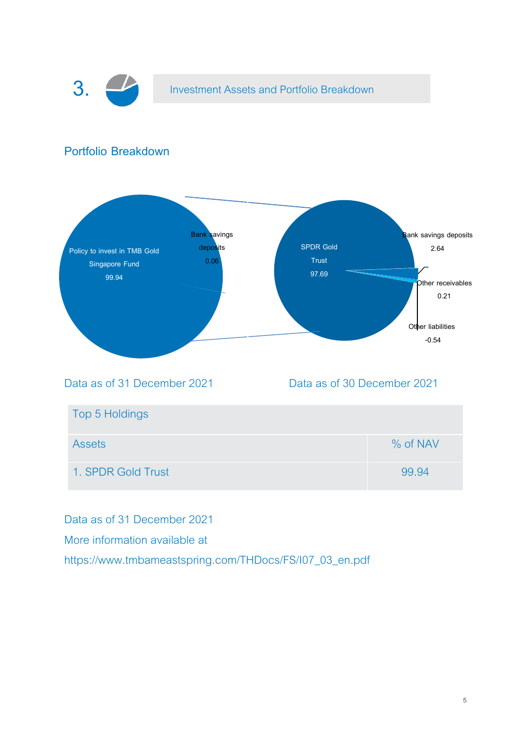

Data as of 31 December 2021

More information available at

https://www.tmbameastspring.com/THDocs/FS/I07\_03\_en.pdf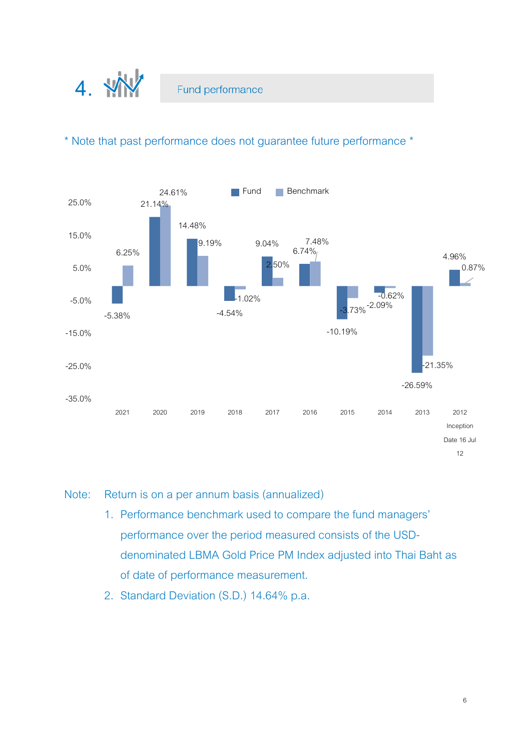

\* Note that past performance does not guarantee future performance \*



#### Note: Return is on a per annum basis (annualized)

- 1. Performance benchmark used to compare the fund managers' performance over the period measured consists of the USDdenominated LBMA Gold Price PM Index adjusted into Thai Baht as of date of performance measurement.
- 2. Standard Deviation (S.D.) 14.64% p.a.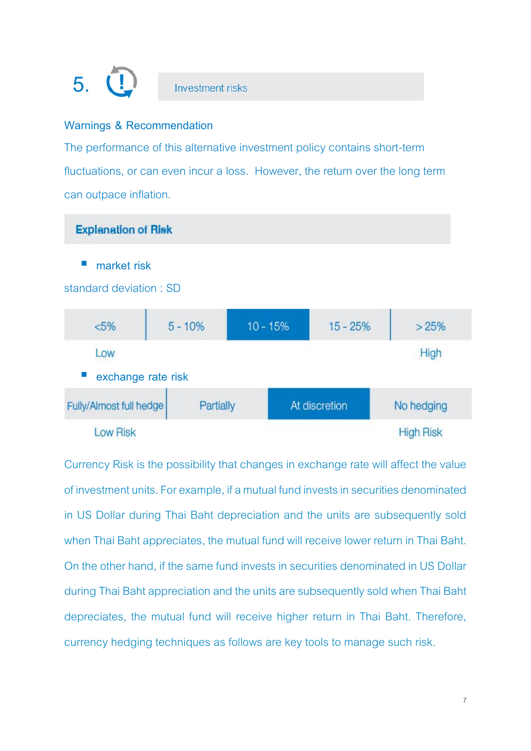# **5.**

### **Investment risks**

#### **Warnings & Recommendation**

The performance of this alternative investment policy contains short-term fluctuations, or can even incur a loss. However, the return over the long term can outpace inflation.



#### **market risk**

standard deviation : SD

| $< 5\%$                 | $5 - 10%$ | $10 - 15%$ | $15 - 25%$    | >25%             |
|-------------------------|-----------|------------|---------------|------------------|
| Low                     |           |            |               | High             |
| exchange rate risk      |           |            |               |                  |
| Fully/Almost full hedge | Partially |            | At discretion | No hedging       |
| <b>Low Risk</b>         |           |            |               | <b>High Risk</b> |

Currency Risk is the possibility that changes in exchange rate will affect the value of investment units. For example, if a mutual fund invests in securities denominated in US Dollar during Thai Baht depreciation and the units are subsequently sold when Thai Baht appreciates, the mutual fund will receive lower return in Thai Baht. On the other hand, if the same fund invests in securities denominated in US Dollar during Thai Baht appreciation and the units are subsequently sold when Thai Baht depreciates, the mutual fund will receive higher return in Thai Baht. Therefore, currency hedging techniques as follows are key tools to manage such risk.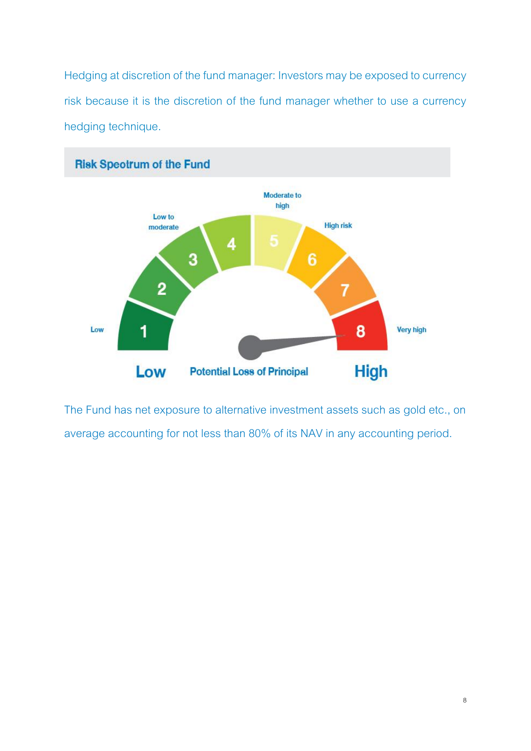Hedging at discretion of the fund manager: Investors may be exposed to currency risk because it is the discretion of the fund manager whether to use a currency hedging technique.



The Fund has net exposure to alternative investment assets such as gold etc., on average accounting for not less than 80% of its NAV in any accounting period.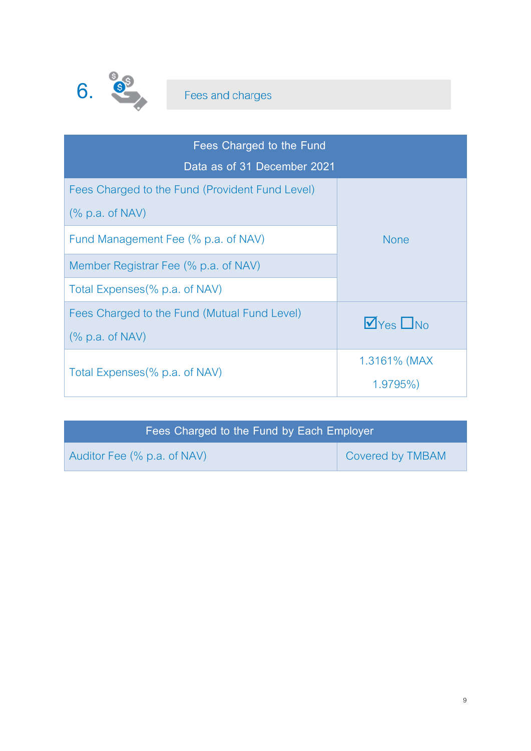

| Fees Charged to the Fund                        |                          |  |
|-------------------------------------------------|--------------------------|--|
| Data as of 31 December 2021                     |                          |  |
| Fees Charged to the Fund (Provident Fund Level) |                          |  |
| $%$ p.a. of NAV)                                | <b>None</b>              |  |
| Fund Management Fee (% p.a. of NAV)             |                          |  |
| Member Registrar Fee (% p.a. of NAV)            |                          |  |
| Total Expenses (% p.a. of NAV)                  |                          |  |
| Fees Charged to the Fund (Mutual Fund Level)    | $\nabla$ Yes $\nabla$ No |  |
| $%$ p.a. of NAV)                                |                          |  |
|                                                 | 1.3161% (MAX             |  |
| Total Expenses (% p.a. of NAV)                  | $1.9795\%$               |  |

| Fees Charged to the Fund by Each Employer |                         |
|-------------------------------------------|-------------------------|
| Auditor Fee (% p.a. of NAV)               | <b>Covered by TMBAM</b> |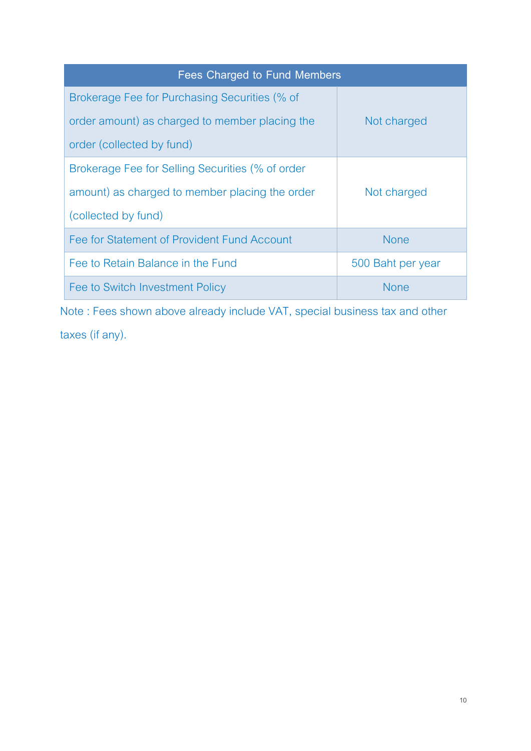| Fees Charged to Fund Members                     |                   |  |
|--------------------------------------------------|-------------------|--|
| Brokerage Fee for Purchasing Securities (% of    |                   |  |
| order amount) as charged to member placing the   | Not charged       |  |
| order (collected by fund)                        |                   |  |
| Brokerage Fee for Selling Securities (% of order |                   |  |
| amount) as charged to member placing the order   | Not charged       |  |
| (collected by fund)                              |                   |  |
| Fee for Statement of Provident Fund Account      | <b>None</b>       |  |
| Fee to Retain Balance in the Fund                | 500 Baht per year |  |
| Fee to Switch Investment Policy                  | <b>None</b>       |  |

Note : Fees shown above already include VAT, special business tax and other taxes (if any).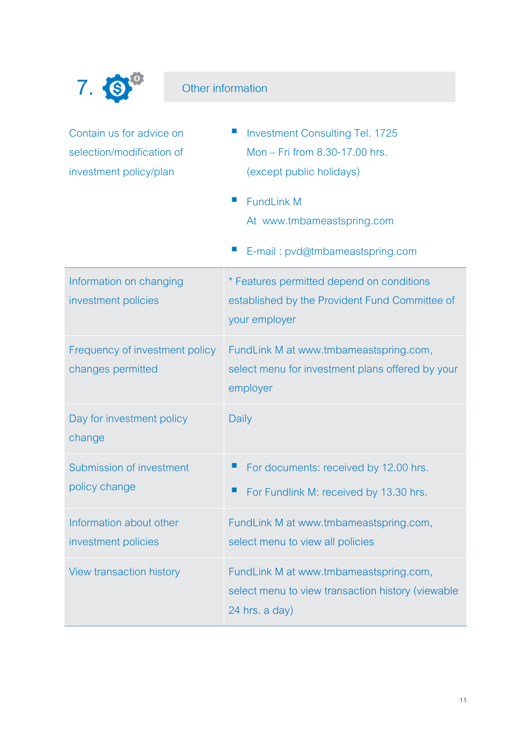

## Other information

| Contain us for advice on<br>selection/modification of<br>investment policy/plan | <b>Investment Consulting Tel. 1725</b><br>Mon - Fri from 8.30-17.00 hrs.<br>(except public holidays)<br>$\mathcal{L}_{\mathcal{A}}$<br><b>FundLink M</b><br>At www.tmbameastspring.com<br>E-mail: pvd@tmbameastspring.com |
|---------------------------------------------------------------------------------|---------------------------------------------------------------------------------------------------------------------------------------------------------------------------------------------------------------------------|
| Information on changing<br>investment policies                                  | * Features permitted depend on conditions<br>established by the Provident Fund Committee of<br>your employer                                                                                                              |
| Frequency of investment policy<br>changes permitted                             | FundLink M at www.tmbameastspring.com,<br>select menu for investment plans offered by your<br>employer                                                                                                                    |
| Day for investment policy<br>change                                             | Daily                                                                                                                                                                                                                     |
| Submission of investment<br>policy change                                       | For documents: received by 12.00 hrs.<br>щ<br>■<br>For Fundlink M: received by 13.30 hrs.                                                                                                                                 |
| Information about other<br>investment policies                                  | FundLink M at www.tmbameastspring.com,<br>select menu to view all policies                                                                                                                                                |
| View transaction history                                                        | FundLink M at www.tmbameastspring.com,<br>select menu to view transaction history (viewable<br>24 hrs. a day)                                                                                                             |